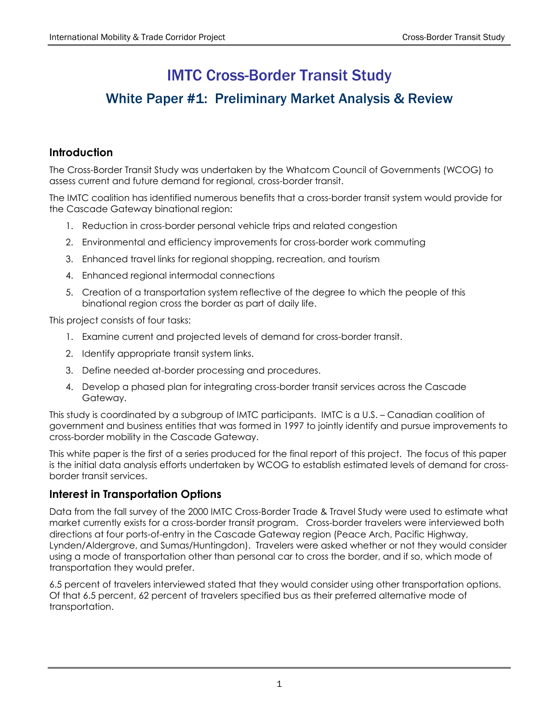# IMTC Cross-Border Transit Study

# White Paper #1: Preliminary Market Analysis & Review

# **Introduction**

The Cross-Border Transit Study was undertaken by the Whatcom Council of Governments (WCOG) to assess current and future demand for regional, cross-border transit.

The IMTC coalition has identified numerous benefits that a cross-border transit system would provide for the Cascade Gateway binational region:

- 1. Reduction in cross-border personal vehicle trips and related congestion
- 2. Environmental and efficiency improvements for cross-border work commuting
- 3. Enhanced travel links for regional shopping, recreation, and tourism
- 4. Enhanced regional intermodal connections
- 5. Creation of a transportation system reflective of the degree to which the people of this binational region cross the border as part of daily life.

This project consists of four tasks:

- 1. Examine current and projected levels of demand for cross-border transit.
- 2. Identify appropriate transit system links.
- 3. Define needed at-border processing and procedures.
- 4. Develop a phased plan for integrating cross-border transit services across the Cascade Gateway.

This study is coordinated by a subgroup of IMTC participants. IMTC is a U.S. – Canadian coalition of government and business entities that was formed in 1997 to jointly identify and pursue improvements to cross-border mobility in the Cascade Gateway.

This white paper is the first of a series produced for the final report of this project. The focus of this paper is the initial data analysis efforts undertaken by WCOG to establish estimated levels of demand for crossborder transit services.

# **Interest in Transportation Options**

Data from the fall survey of the 2000 IMTC Cross-Border Trade & Travel Study were used to estimate what market currently exists for a cross-border transit program. Cross-border travelers were interviewed both directions at four ports-of-entry in the Cascade Gateway region (Peace Arch, Pacific Highway, Lynden/Aldergrove, and Sumas/Huntingdon). Travelers were asked whether or not they would consider using a mode of transportation other than personal car to cross the border, and if so, which mode of transportation they would prefer.

6.5 percent of travelers interviewed stated that they would consider using other transportation options. Of that 6.5 percent, 62 percent of travelers specified bus as their preferred alternative mode of transportation.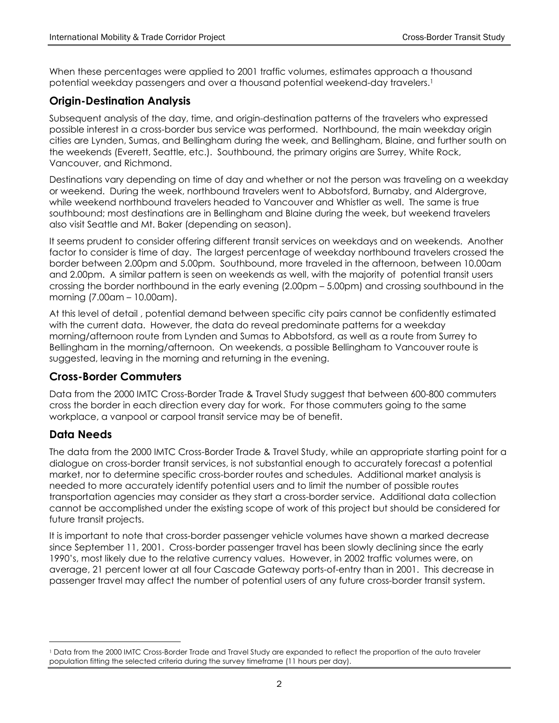When these percentages were applied to 2001 traffic volumes, estimates approach a thousand potential weekday passengers and over a thousand potential weekend-day travelers.[1](#page-1-0)

# **Origin-Destination Analysis**

Subsequent analysis of the day, time, and origin-destination patterns of the travelers who expressed possible interest in a cross-border bus service was performed. Northbound, the main weekday origin cities are Lynden, Sumas, and Bellingham during the week, and Bellingham, Blaine, and further south on the weekends (Everett, Seattle, etc.). Southbound, the primary origins are Surrey, White Rock, Vancouver, and Richmond.

Destinations vary depending on time of day and whether or not the person was traveling on a weekday or weekend. During the week, northbound travelers went to Abbotsford, Burnaby, and Aldergrove, while weekend northbound travelers headed to Vancouver and Whistler as well. The same is true southbound; most destinations are in Bellingham and Blaine during the week, but weekend travelers also visit Seattle and Mt. Baker (depending on season).

It seems prudent to consider offering different transit services on weekdays and on weekends. Another factor to consider is time of day. The largest percentage of weekday northbound travelers crossed the border between 2.00pm and 5.00pm. Southbound, more traveled in the afternoon, between 10.00am and 2.00pm. A similar pattern is seen on weekends as well, with the majority of potential transit users crossing the border northbound in the early evening (2.00pm – 5.00pm) and crossing southbound in the morning (7.00am – 10.00am).

At this level of detail , potential demand between specific city pairs cannot be confidently estimated with the current data. However, the data do reveal predominate patterns for a weekday morning/afternoon route from Lynden and Sumas to Abbotsford, as well as a route from Surrey to Bellingham in the morning/afternoon. On weekends, a possible Bellingham to Vancouver route is suggested, leaving in the morning and returning in the evening.

# **Cross-Border Commuters**

Data from the 2000 IMTC Cross-Border Trade & Travel Study suggest that between 600-800 commuters cross the border in each direction every day for work. For those commuters going to the same workplace, a vanpool or carpool transit service may be of benefit.

# **Data Needs**

 $\overline{a}$ 

The data from the 2000 IMTC Cross-Border Trade & Travel Study, while an appropriate starting point for a dialogue on cross-border transit services, is not substantial enough to accurately forecast a potential market, nor to determine specific cross-border routes and schedules. Additional market analysis is needed to more accurately identify potential users and to limit the number of possible routes transportation agencies may consider as they start a cross-border service. Additional data collection cannot be accomplished under the existing scope of work of this project but should be considered for future transit projects.

It is important to note that cross-border passenger vehicle volumes have shown a marked decrease since September 11, 2001. Cross-border passenger travel has been slowly declining since the early 1990's, most likely due to the relative currency values. However, in 2002 traffic volumes were, on average, 21 percent lower at all four Cascade Gateway ports-of-entry than in 2001. This decrease in passenger travel may affect the number of potential users of any future cross-border transit system.

<span id="page-1-0"></span><sup>1</sup> Data from the 2000 IMTC Cross-Border Trade and Travel Study are expanded to reflect the proportion of the auto traveler population fitting the selected criteria during the survey timeframe (11 hours per day).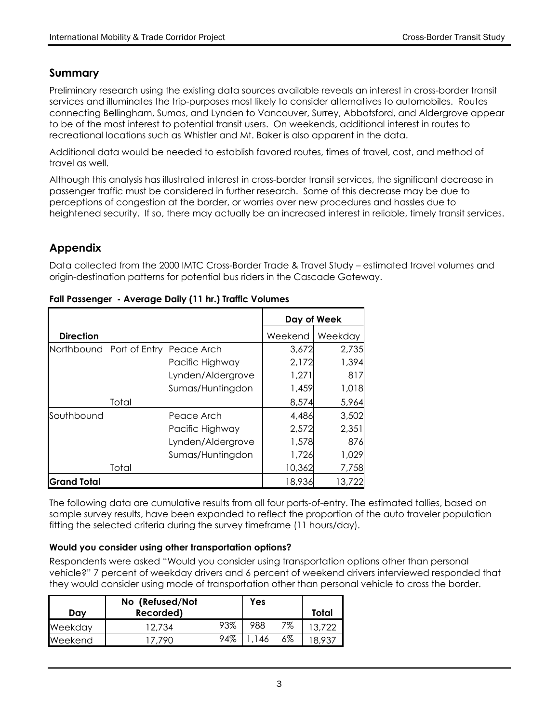# **Summary**

Preliminary research using the existing data sources available reveals an interest in cross-border transit services and illuminates the trip-purposes most likely to consider alternatives to automobiles. Routes connecting Bellingham, Sumas, and Lynden to Vancouver, Surrey, Abbotsford, and Aldergrove appear to be of the most interest to potential transit users. On weekends, additional interest in routes to recreational locations such as Whistler and Mt. Baker is also apparent in the data.

Additional data would be needed to establish favored routes, times of travel, cost, and method of travel as well.

Although this analysis has illustrated interest in cross-border transit services, the significant decrease in passenger traffic must be considered in further research. Some of this decrease may be due to perceptions of congestion at the border, or worries over new procedures and hassles due to heightened security. If so, there may actually be an increased interest in reliable, timely transit services.

# **Appendix**

Data collected from the 2000 IMTC Cross-Border Trade & Travel Study – estimated travel volumes and origin-destination patterns for potential bus riders in the Cascade Gateway.

|                                     |       |                   | Day of Week |         |
|-------------------------------------|-------|-------------------|-------------|---------|
| <b>Direction</b>                    |       |                   | Weekend     | Weekday |
| Northbound Port of Entry Peace Arch |       |                   | 3,672       | 2,735   |
|                                     |       | Pacific Highway   | 2,172       | 1,394   |
|                                     |       | Lynden/Aldergrove | 1,271       | 817     |
|                                     |       | Sumas/Huntingdon  | 1,459       | 1,018   |
|                                     | Total |                   | 8,574       | 5,964   |
| Southbound                          |       | Peace Arch        | 4,486       | 3,502   |
|                                     |       | Pacific Highway   | 2,572       | 2,351   |
|                                     |       | Lynden/Aldergrove | 1,578       | 876     |
|                                     |       | Sumas/Huntingdon  | 1,726       | 1,029   |
|                                     | Total |                   | 10,362      | 7,758   |
| Grand Total                         |       |                   | 18,936      | 13,722  |

#### **Fall Passenger - Average Daily (11 hr.) Traffic Volumes**

The following data are cumulative results from all four ports-of-entry. The estimated tallies, based on sample survey results, have been expanded to reflect the proportion of the auto traveler population fitting the selected criteria during the survey timeframe (11 hours/day).

### **Would you consider using other transportation options?**

Respondents were asked "Would you consider using transportation options other than personal vehicle?" 7 percent of weekday drivers and 6 percent of weekend drivers interviewed responded that they would consider using mode of transportation other than personal vehicle to cross the border.

| Dav     | No (Refused/Not<br>Recorded) |     | Yes  |    | Total |
|---------|------------------------------|-----|------|----|-------|
| Weekday | 12,734                       | 93% | 988  | 7% |       |
| Weekend | 1790                         | 94% | ' 46 | 6% |       |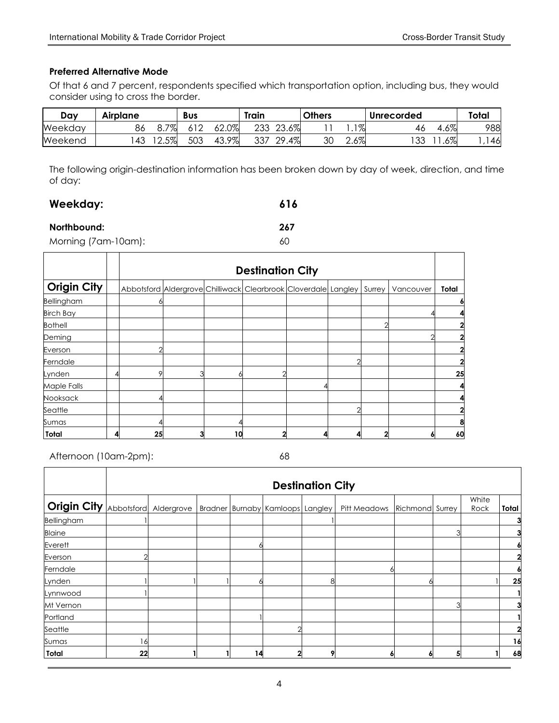#### **Preferred Alternative Mode**

Of that 6 and 7 percent, respondents specified which transportation option, including bus, they would consider using to cross the border.

| Day     | Airplane |          | Bus      |            | Train |          | <b>Others</b> |                  | Unrecorded |        | <b>Total</b> |
|---------|----------|----------|----------|------------|-------|----------|---------------|------------------|------------|--------|--------------|
| Weekday | 86       | 7%<br>ο. | <u>_</u> | 62.0%      | 233   | 23.6%    |               | $1 \sigma$<br>70 | 40         | $.6\%$ | 988          |
| Weekend | 43       | 2.5%     | 503      | 9%<br>43.7 | 337   | 4%<br>29 | 30            | 70<br>Z.O70      | ົດຕ<br>ັບ  | .6%    | 46           |

The following origin-destination information has been broken down by day of week, direction, and time of day:

# **Weekday: 616**

#### **Northbound: 267**

Morning (7am-10am): 60

|                    |   |    |   |    | <b>Destination City</b>                                        |  |        |           |                         |
|--------------------|---|----|---|----|----------------------------------------------------------------|--|--------|-----------|-------------------------|
| <b>Origin City</b> |   |    |   |    | Abbotsford Aldergrove Chilliwack Clearbrook Cloverdale Langley |  | Surrey | Vancouver | Total                   |
| <b>Bellingham</b>  |   |    |   |    |                                                                |  |        |           | 6                       |
| <b>Birch Bay</b>   |   |    |   |    |                                                                |  |        |           |                         |
| <b>Bothell</b>     |   |    |   |    |                                                                |  |        |           | $\overline{2}$          |
| Deming             |   |    |   |    |                                                                |  |        |           | $\overline{2}$          |
| Everson            |   |    |   |    |                                                                |  |        |           | $\overline{\mathbf{2}}$ |
| Ferndale           |   |    |   |    |                                                                |  |        |           | $\overline{\mathbf{2}}$ |
| Lynden             |   |    | ঽ |    |                                                                |  |        |           | 25                      |
| Maple Falls        |   |    |   |    |                                                                |  |        |           | 4                       |
| Nooksack           |   |    |   |    |                                                                |  |        |           |                         |
| Seattle            |   |    |   |    |                                                                |  |        |           | $\mathbf{2}$            |
| Sumas              |   |    |   |    |                                                                |  |        |           | 8                       |
| <b>Total</b>       | 4 | 25 | 3 | 10 |                                                                |  |        |           | 60                      |

Afternoon (10am-2pm): 68

|                                                                           |    | <b>Destination City</b> |  |    |   |   |              |                 |  |       |       |  |
|---------------------------------------------------------------------------|----|-------------------------|--|----|---|---|--------------|-----------------|--|-------|-------|--|
| <b>Origin City</b> Abbotsford Aldergrove Bradner Burnaby Kamloops Langley |    |                         |  |    |   |   |              |                 |  | White |       |  |
|                                                                           |    |                         |  |    |   |   | Pitt Meadows | Richmond Surrey |  | Rock  | Total |  |
| Bellingham                                                                |    |                         |  |    |   |   |              |                 |  |       |       |  |
| <b>Blaine</b>                                                             |    |                         |  |    |   |   |              |                 |  |       |       |  |
| Everett                                                                   |    |                         |  |    |   |   |              |                 |  |       |       |  |
| Everson                                                                   |    |                         |  |    |   |   |              |                 |  |       |       |  |
| Ferndale                                                                  |    |                         |  |    |   |   |              |                 |  |       |       |  |
| Lynden                                                                    |    |                         |  |    |   | 8 |              |                 |  |       | 25    |  |
| Lynnwood                                                                  |    |                         |  |    |   |   |              |                 |  |       |       |  |
| Mt Vernon                                                                 |    |                         |  |    |   |   |              |                 |  |       |       |  |
| Portland                                                                  |    |                         |  |    |   |   |              |                 |  |       |       |  |
| Seattle                                                                   |    |                         |  |    |   |   |              |                 |  |       |       |  |
| Sumas                                                                     | 16 |                         |  |    |   |   |              |                 |  |       | 16    |  |
| Total                                                                     | 22 |                         |  | 14 | 2 | 9 |              |                 |  |       | 68    |  |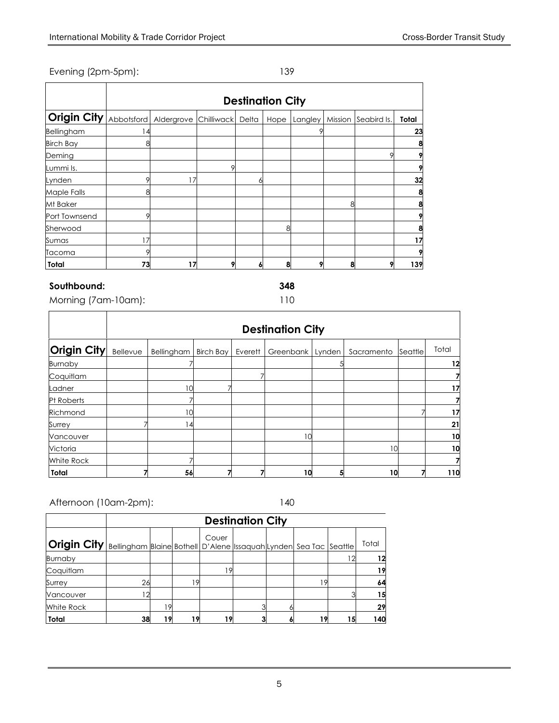#### Evening (2pm-5pm): 139

|                  | <b>Destination City</b> |            |            |           |      |         |         |             |       |  |  |  |  |
|------------------|-------------------------|------------|------------|-----------|------|---------|---------|-------------|-------|--|--|--|--|
| Origin City      | Abbotsford              | Aldergrove | Chilliwack | Delta     | Hope | Langley | Mission | Seabird Is. | Total |  |  |  |  |
| Bellingham       | $\overline{4}$          |            |            |           |      |         |         |             | 23    |  |  |  |  |
| <b>Birch Bay</b> | 8                       |            |            |           |      |         |         |             |       |  |  |  |  |
| Deming           |                         |            |            |           |      |         |         | Ω           |       |  |  |  |  |
| Lummi Is.        |                         |            |            |           |      |         |         |             |       |  |  |  |  |
| Lynden           | 9                       | 17         |            |           |      |         |         |             | 32    |  |  |  |  |
| Maple Falls      | 8                       |            |            |           |      |         |         |             | 8     |  |  |  |  |
| Mt Baker         |                         |            |            |           |      |         | 8       |             |       |  |  |  |  |
| Port Townsend    | Q                       |            |            |           |      |         |         |             |       |  |  |  |  |
| Sherwood         |                         |            |            |           | 8    |         |         |             |       |  |  |  |  |
| Sumas            | 17                      |            |            |           |      |         |         |             | 17    |  |  |  |  |
| Tacoma           | 9                       |            |            |           |      |         |         |             |       |  |  |  |  |
| <b>Total</b>     | 73                      | 17         |            | $\bullet$ | 8    |         | 8       | 9           | 139   |  |  |  |  |

#### **Southbound: 348**

Morning (7am-10am): 110

|                    |          | <b>Destination City</b> |                  |         |           |        |            |         |       |  |  |  |  |
|--------------------|----------|-------------------------|------------------|---------|-----------|--------|------------|---------|-------|--|--|--|--|
| <b>Origin City</b> | Bellevue | Bellingham              | <b>Birch Bay</b> | Everett | Greenbank | Lynden | Sacramento | Seattle | Total |  |  |  |  |
| <b>Burnaby</b>     |          |                         |                  |         |           |        |            |         | 12    |  |  |  |  |
| Coquitlam          |          |                         |                  |         |           |        |            |         |       |  |  |  |  |
| Ladner             |          | 10                      |                  |         |           |        |            |         | 17    |  |  |  |  |
| Pt Roberts         |          |                         |                  |         |           |        |            |         |       |  |  |  |  |
| Richmond           |          | 10                      |                  |         |           |        |            |         | 17    |  |  |  |  |
| Surrey             |          | 4                       |                  |         |           |        |            |         | 21    |  |  |  |  |
| Vancouver          |          |                         |                  |         | 10        |        |            |         | 10    |  |  |  |  |
| Victoria           |          |                         |                  |         |           |        | 10         |         | 10    |  |  |  |  |
| White Rock         |          |                         |                  |         |           |        |            |         |       |  |  |  |  |
| <b>Total</b>       |          | 56                      |                  |         | 10        | 5      | 10         |         | 110   |  |  |  |  |

Afternoon (10am-2pm): 140

|                                                                                                  |    | <b>Destination City</b> |    |       |  |  |          |     |       |  |  |  |  |
|--------------------------------------------------------------------------------------------------|----|-------------------------|----|-------|--|--|----------|-----|-------|--|--|--|--|
| <b>Origin City</b>   Bellingham   Blaine   Bothell   D'Alene   ssaquah Lynden  Sea Tac   Seattle |    |                         |    | Couer |  |  |          |     | Total |  |  |  |  |
| <b>Burnaby</b>                                                                                   |    |                         |    |       |  |  |          | ר ו | 12    |  |  |  |  |
| Coquitlam                                                                                        |    |                         |    | 19    |  |  |          |     | 19    |  |  |  |  |
| Surrey                                                                                           | 26 |                         | 19 |       |  |  | <b>9</b> |     | 64    |  |  |  |  |
| Vancouver                                                                                        |    |                         |    |       |  |  |          |     | 15    |  |  |  |  |
| White Rock                                                                                       |    |                         |    |       |  |  |          |     | 29    |  |  |  |  |
| Total                                                                                            | 38 |                         | g  | 19    |  |  | 19       | 15  | 140   |  |  |  |  |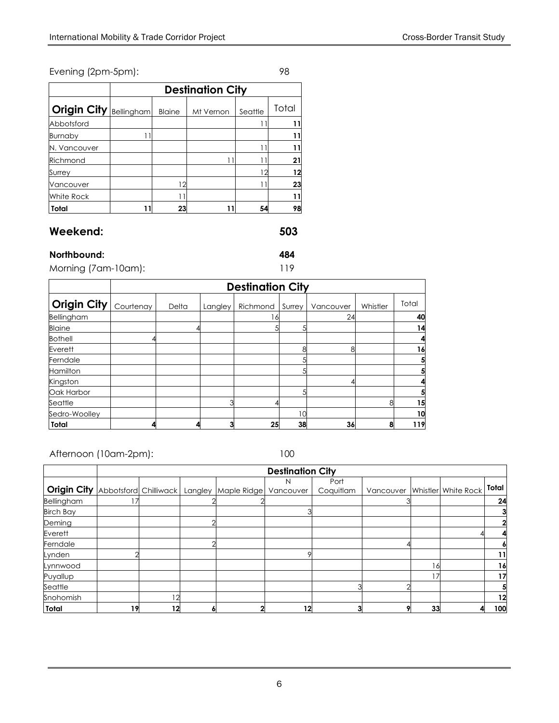### Evening (2pm-5pm): 98

|              |                   |               | <b>Destination City</b> |         |       |
|--------------|-------------------|---------------|-------------------------|---------|-------|
| Origin City  | <b>Bellingham</b> | <b>Blaine</b> | Mt Vernon               | Seattle | Total |
| Abbotsford   |                   |               |                         |         | 11    |
| Burnaby      |                   |               |                         |         | 11    |
| N. Vancouver |                   |               |                         |         | 11    |
| Richmond     |                   |               |                         |         | 21    |
| Surrey       |                   |               |                         | 12      | 12    |
| Vancouver    |                   |               |                         |         | 23    |
| White Rock   |                   |               |                         |         | 11    |
| Total        |                   | 23            |                         | 54      | 98    |

# **Weekend: 503**

#### **Northbound: 484**

Morning (7am-10am): 119

|                 |           | <b>Destination City</b> |         |          |        |           |          |       |  |  |  |  |  |
|-----------------|-----------|-------------------------|---------|----------|--------|-----------|----------|-------|--|--|--|--|--|
| Origin City     | Courtenay | Delta                   | Langley | Richmond | Surrey | Vancouver | Whistler | Total |  |  |  |  |  |
| Bellingham      |           |                         |         |          |        | 24        |          | 40    |  |  |  |  |  |
| <b>Blaine</b>   |           |                         |         |          |        |           |          | 14    |  |  |  |  |  |
| <b>Bothell</b>  |           |                         |         |          |        |           |          |       |  |  |  |  |  |
| Everett         |           |                         |         |          | ጸ      | 8         |          | 16    |  |  |  |  |  |
| Ferndale        |           |                         |         |          |        |           |          |       |  |  |  |  |  |
| <b>Hamilton</b> |           |                         |         |          |        |           |          |       |  |  |  |  |  |
| Kingston        |           |                         |         |          |        |           |          |       |  |  |  |  |  |
| Oak Harbor      |           |                         |         |          |        |           |          |       |  |  |  |  |  |
| Seattle         |           |                         | ↷       |          |        |           |          | 15    |  |  |  |  |  |
| Sedro-Woolley   |           |                         |         |          | 10     |           |          | 10    |  |  |  |  |  |
| Total           |           |                         | 3       | 25       | 38     | 36        | 8        | 119   |  |  |  |  |  |

Afternoon (10am-2pm): 100

|                    |                       |    |                     | <b>Destination City</b> |                   |                               |                |              |
|--------------------|-----------------------|----|---------------------|-------------------------|-------------------|-------------------------------|----------------|--------------|
| <b>Origin City</b> | Abbotsford Chilliwack |    | Langley Maple Ridge | N<br>Vancouver          | Port<br>Coquitlam | Vancouver Whistler White Rock |                | <b>Total</b> |
| Bellingham         |                       |    |                     |                         |                   |                               |                | 24           |
| <b>Birch Bay</b>   |                       |    |                     |                         |                   |                               |                |              |
| Deming             |                       |    |                     |                         |                   |                               |                |              |
| Everett            |                       |    |                     |                         |                   |                               |                |              |
| Ferndale           |                       |    |                     |                         |                   |                               |                |              |
| Lynden             |                       |    |                     |                         |                   |                               |                | 11.          |
| Lynnwood           |                       |    |                     |                         |                   |                               | 6              | 16           |
| Puyallup           |                       |    |                     |                         |                   |                               | $\overline{7}$ | 17           |
| Seattle            |                       |    |                     |                         |                   |                               |                |              |
| Snohomish          |                       | 12 |                     |                         |                   |                               |                | 12           |
| Total              | 19                    | 12 |                     | 12                      |                   |                               | 33             | 100          |